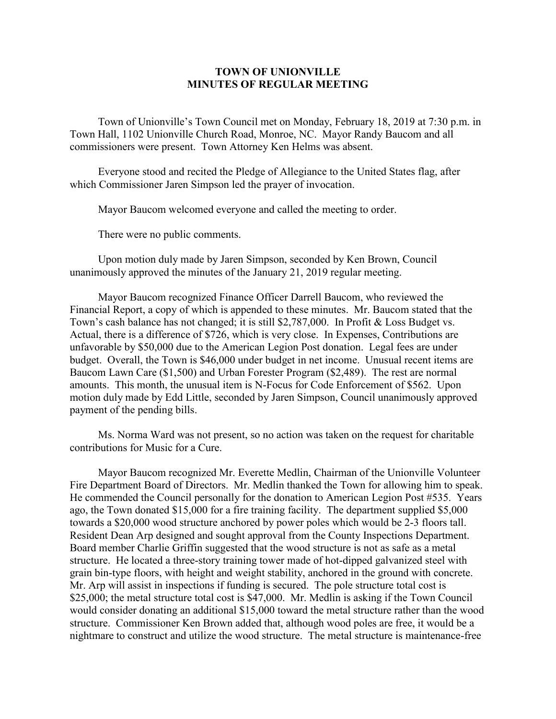## **TOWN OF UNIONVILLE MINUTES OF REGULAR MEETING**

Town of Unionville's Town Council met on Monday, February 18, 2019 at 7:30 p.m. in Town Hall, 1102 Unionville Church Road, Monroe, NC. Mayor Randy Baucom and all commissioners were present. Town Attorney Ken Helms was absent.

Everyone stood and recited the Pledge of Allegiance to the United States flag, after which Commissioner Jaren Simpson led the prayer of invocation.

Mayor Baucom welcomed everyone and called the meeting to order.

There were no public comments.

Upon motion duly made by Jaren Simpson, seconded by Ken Brown, Council unanimously approved the minutes of the January 21, 2019 regular meeting.

Mayor Baucom recognized Finance Officer Darrell Baucom, who reviewed the Financial Report, a copy of which is appended to these minutes. Mr. Baucom stated that the Town's cash balance has not changed; it is still \$2,787,000. In Profit & Loss Budget vs. Actual, there is a difference of \$726, which is very close. In Expenses, Contributions are unfavorable by \$50,000 due to the American Legion Post donation. Legal fees are under budget. Overall, the Town is \$46,000 under budget in net income. Unusual recent items are Baucom Lawn Care (\$1,500) and Urban Forester Program (\$2,489). The rest are normal amounts. This month, the unusual item is N-Focus for Code Enforcement of \$562. Upon motion duly made by Edd Little, seconded by Jaren Simpson, Council unanimously approved payment of the pending bills.

Ms. Norma Ward was not present, so no action was taken on the request for charitable contributions for Music for a Cure.

Mayor Baucom recognized Mr. Everette Medlin, Chairman of the Unionville Volunteer Fire Department Board of Directors. Mr. Medlin thanked the Town for allowing him to speak. He commended the Council personally for the donation to American Legion Post #535. Years ago, the Town donated \$15,000 for a fire training facility. The department supplied \$5,000 towards a \$20,000 wood structure anchored by power poles which would be 2-3 floors tall. Resident Dean Arp designed and sought approval from the County Inspections Department. Board member Charlie Griffin suggested that the wood structure is not as safe as a metal structure. He located a three-story training tower made of hot-dipped galvanized steel with grain bin-type floors, with height and weight stability, anchored in the ground with concrete. Mr. Arp will assist in inspections if funding is secured. The pole structure total cost is \$25,000; the metal structure total cost is \$47,000. Mr. Medlin is asking if the Town Council would consider donating an additional \$15,000 toward the metal structure rather than the wood structure. Commissioner Ken Brown added that, although wood poles are free, it would be a nightmare to construct and utilize the wood structure. The metal structure is maintenance-free